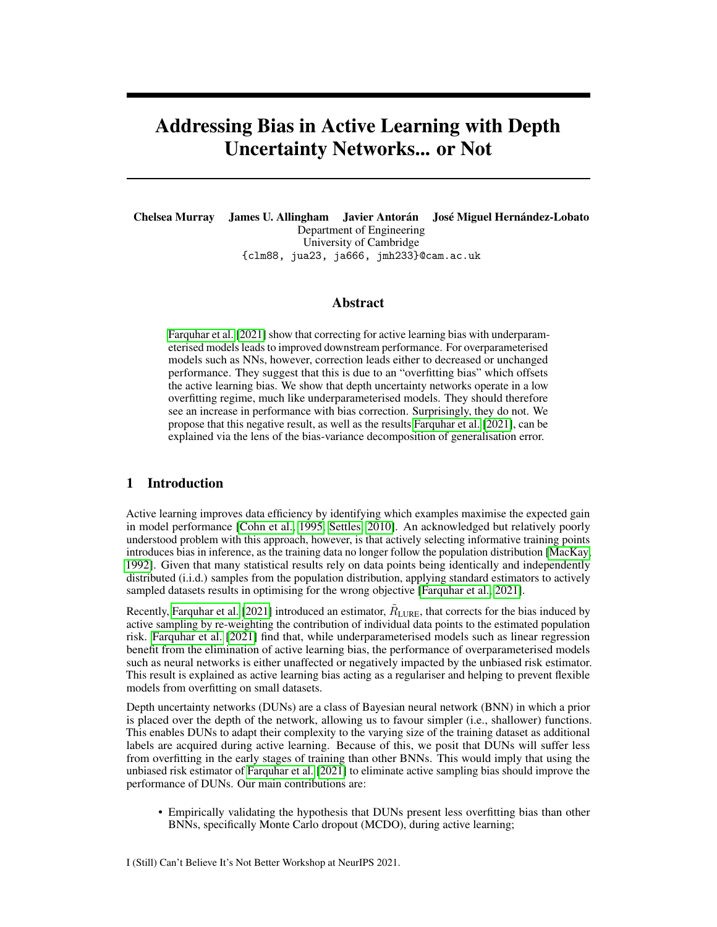# Addressing Bias in Active Learning with Depth Uncertainty Networks... or Not

Chelsea Murray James U. Allingham Javier Antorán José Miguel Hernández-Lobato Department of Engineering University of Cambridge {clm88, jua23, ja666, jmh233}@cam.ac.uk

## Abstract

[Farquhar et al.](#page-4-0) [\[2021\]](#page-4-0) show that correcting for active learning bias with underparameterised models leads to improved downstream performance. For overparameterised models such as NNs, however, correction leads either to decreased or unchanged performance. They suggest that this is due to an "overfitting bias" which offsets the active learning bias. We show that depth uncertainty networks operate in a low overfitting regime, much like underparameterised models. They should therefore see an increase in performance with bias correction. Surprisingly, they do not. We propose that this negative result, as well as the results [Farquhar et al.](#page-4-0) [\[2021\]](#page-4-0), can be explained via the lens of the bias-variance decomposition of generalisation error.

# 1 Introduction

Active learning improves data efficiency by identifying which examples maximise the expected gain in model performance [\[Cohn et al., 1995,](#page-4-1) [Settles, 2010\]](#page-4-2). An acknowledged but relatively poorly understood problem with this approach, however, is that actively selecting informative training points introduces bias in inference, as the training data no longer follow the population distribution [\[MacKay,](#page-4-3) [1992\]](#page-4-3). Given that many statistical results rely on data points being identically and independently distributed (i.i.d.) samples from the population distribution, applying standard estimators to actively sampled datasets results in optimising for the wrong objective [\[Farquhar et al., 2021\]](#page-4-0).

Recently, [Farquhar et al.](#page-4-0) [\[2021\]](#page-4-0) introduced an estimator,  $\tilde{R}_{\text{LURE}}$ , that corrects for the bias induced by active sampling by re-weighting the contribution of individual data points to the estimated population risk. [Farquhar et al.](#page-4-0) [\[2021\]](#page-4-0) find that, while underparameterised models such as linear regression benefit from the elimination of active learning bias, the performance of overparameterised models such as neural networks is either unaffected or negatively impacted by the unbiased risk estimator. This result is explained as active learning bias acting as a regulariser and helping to prevent flexible models from overfitting on small datasets.

Depth uncertainty networks (DUNs) are a class of Bayesian neural network (BNN) in which a prior is placed over the depth of the network, allowing us to favour simpler (i.e., shallower) functions. This enables DUNs to adapt their complexity to the varying size of the training dataset as additional labels are acquired during active learning. Because of this, we posit that DUNs will suffer less from overfitting in the early stages of training than other BNNs. This would imply that using the unbiased risk estimator of [Farquhar et al.](#page-4-0) [\[2021\]](#page-4-0) to eliminate active sampling bias should improve the performance of DUNs. Our main contributions are:

• Empirically validating the hypothesis that DUNs present less overfitting bias than other BNNs, specifically Monte Carlo dropout (MCDO), during active learning;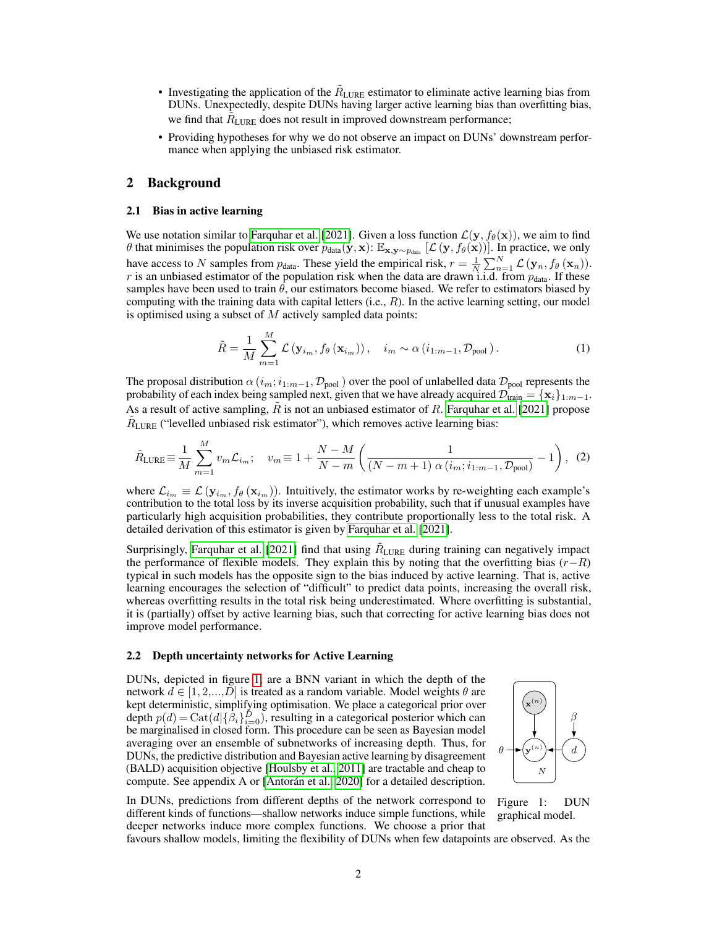- Investigating the application of the  $R_{\text{LURE}}$  estimator to eliminate active learning bias from DUNs. Unexpectedly, despite DUNs having larger active learning bias than overfitting bias, we find that  $\tilde{R}_{\text{LURE}}$  does not result in improved downstream performance;
- Providing hypotheses for why we do not observe an impact on DUNs' downstream performance when applying the unbiased risk estimator.

## 2 Background

#### 2.1 Bias in active learning

We use notation similar to [Farquhar et al.](#page-4-0) [\[2021\]](#page-4-0). Given a loss function  $\mathcal{L}(\mathbf{y}, f_{\theta}(\mathbf{x}))$ , we aim to find θ that minimises the population risk over  $p_{data}(y, x)$ :  $\mathbb{E}_{x,y \sim p_{data}}$  [∠ (y,  $f_{\theta}(x)$ )]. In practice, we only have access to N samples from  $p_{data}$ . These yield the empirical risk,  $r = \frac{1}{N} \sum_{n=1}^{N} \mathcal{L}(\mathbf{y}_n, f_{\theta}(\mathbf{x}_n)).$ r is an unbiased estimator of the population risk when the data are drawn i.i.d. from  $p_{data}$ . If these samples have been used to train  $\theta$ , our estimators become biased. We refer to estimators biased by computing with the training data with capital letters  $(i.e., R)$ . In the active learning setting, our model is optimised using a subset of  $M$  actively sampled data points:

$$
\tilde{R} = \frac{1}{M} \sum_{m=1}^{M} \mathcal{L} \left( \mathbf{y}_{i_m}, f_{\theta} \left( \mathbf{x}_{i_m} \right) \right), \quad i_m \sim \alpha \left( i_{1:m-1}, \mathcal{D}_{\text{pool}} \right). \tag{1}
$$

The proposal distribution  $\alpha$  ( $i_m$ ;  $i_{1:m-1}$ ,  $\mathcal{D}_{pool}$ ) over the pool of unlabelled data  $\mathcal{D}_{pool}$  represents the probability of each index being sampled next, given that we have already acquired  $\mathcal{D}_{\text{train}} = \{x_i\}_{1:m-1}$ . As a result of active sampling,  $R$  is not an unbiased estimator of  $R$ . [Farquhar et al.](#page-4-0) [\[2021\]](#page-4-0) propose  $\tilde{R}_{\text{LURE}}$  ("levelled unbiased risk estimator"), which removes active learning bias:

$$
\tilde{R}_{\text{LURE}} \equiv \frac{1}{M} \sum_{m=1}^{M} v_m \mathcal{L}_{i_m}; \quad v_m \equiv 1 + \frac{N - M}{N - m} \left( \frac{1}{(N - m + 1) \alpha \left( i_m; i_{1:m-1}, \mathcal{D}_{\text{pool}} \right)} - 1 \right), \tag{2}
$$

where  $\mathcal{L}_{i_m} \equiv \mathcal{L}(\mathbf{y}_{i_m}, f_{\theta}(\mathbf{x}_{i_m}))$ . Intuitively, the estimator works by re-weighting each example's contribution to the total loss by its inverse acquisition probability, such that if unusual examples have particularly high acquisition probabilities, they contribute proportionally less to the total risk. A detailed derivation of this estimator is given by [Farquhar et al.](#page-4-0) [\[2021\]](#page-4-0).

Surprisingly, [Farquhar et al.](#page-4-0) [\[2021\]](#page-4-0) find that using  $\tilde{R}_{\text{LURE}}$  during training can negatively impact the performance of flexible models. They explain this by noting that the overfitting bias  $(r-R)$ typical in such models has the opposite sign to the bias induced by active learning. That is, active learning encourages the selection of "difficult" to predict data points, increasing the overall risk, whereas overfitting results in the total risk being underestimated. Where overfitting is substantial, it is (partially) offset by active learning bias, such that correcting for active learning bias does not improve model performance.

### 2.2 Depth uncertainty networks for Active Learning

DUNs, depicted in figure [1,](#page-1-0) are a BNN variant in which the depth of the network  $d \in [1, 2, ..., D]$  is treated as a random variable. Model weights  $\theta$  are kept deterministic, simplifying optimisation. We place a categorical prior over depth  $p(d) = \text{Cat}(d|\{\beta_i\}_{i=0}^D)$ , resulting in a categorical posterior which can be marginalised in closed form. This procedure can be seen as Bayesian model averaging over an ensemble of subnetworks of increasing depth. Thus, for DUNs, the predictive distribution and Bayesian active learning by disagreement (BALD) acquisition objective [\[Houlsby et al., 2011\]](#page-4-4) are tractable and cheap to compute. See appendix A or [\[Antorán et al., 2020\]](#page-4-5) for a detailed description.

<span id="page-1-1"></span>

In DUNs, predictions from different depths of the network correspond to different kinds of functions—shallow networks induce simple functions, while deeper networks induce more complex functions. We choose a prior that

<span id="page-1-0"></span>Figure 1: DUN graphical model.

favours shallow models, limiting the flexibility of DUNs when few datapoints are observed. As the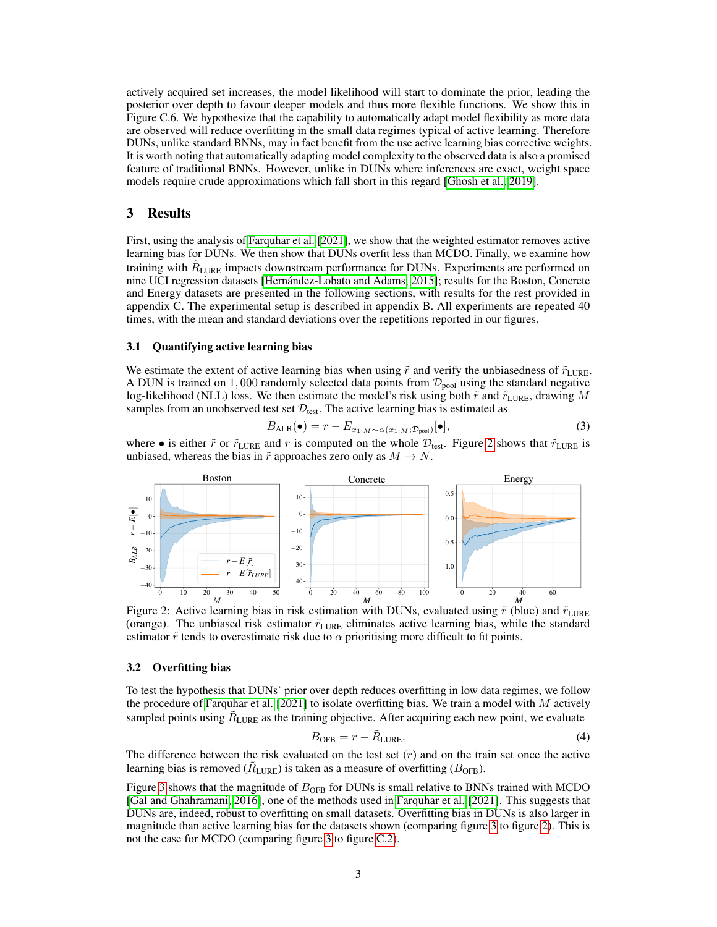actively acquired set increases, the model likelihood will start to dominate the prior, leading the posterior over depth to favour deeper models and thus more flexible functions. We show this in Figure C.6. We hypothesize that the capability to automatically adapt model flexibility as more data are observed will reduce overfitting in the small data regimes typical of active learning. Therefore DUNs, unlike standard BNNs, may in fact benefit from the use active learning bias corrective weights. It is worth noting that automatically adapting model complexity to the observed data is also a promised feature of traditional BNNs. However, unlike in DUNs where inferences are exact, weight space models require crude approximations which fall short in this regard [\[Ghosh et al., 2019\]](#page-4-6).

## 3 Results

First, using the analysis of [Farquhar et al.](#page-4-0) [\[2021\]](#page-4-0), we show that the weighted estimator removes active learning bias for DUNs. We then show that DUNs overfit less than MCDO. Finally, we examine how training with  $\tilde{R}_{\text{LURE}}$  impacts downstream performance for DUNs. Experiments are performed on nine UCI regression datasets [\[Hernández-Lobato and Adams, 2015\]](#page-4-7); results for the Boston, Concrete and Energy datasets are presented in the following sections, with results for the rest provided in appendix C. The experimental setup is described in appendix B. All experiments are repeated 40 times, with the mean and standard deviations over the repetitions reported in our figures.

#### 3.1 Quantifying active learning bias

We estimate the extent of active learning bias when using  $\tilde{r}$  and verify the unbiasedness of  $\tilde{r}_{\text{LURE}}$ . A DUN is trained on 1,000 randomly selected data points from  $\mathcal{D}_{pool}$  using the standard negative log-likelihood (NLL) loss. We then estimate the model's risk using both  $\tilde{r}$  and  $\tilde{r}_{\text{LURE}}$ , drawing M samples from an unobserved test set  $\mathcal{D}_{\text{test}}$ . The active learning bias is estimated as

<span id="page-2-2"></span>
$$
B_{\text{ALB}}(\bullet) = r - E_{x_{1:M} \sim \alpha(x_{1:M}; \mathcal{D}_{\text{pool}})}[\bullet], \tag{3}
$$

where • is either  $\tilde{r}$  or  $\tilde{r}_{\text{LURE}}$  and r is computed on the whole  $\mathcal{D}_{\text{test}}$ . Figure [2](#page-2-0) shows that  $\tilde{r}_{\text{LURE}}$  is unbiased, whereas the bias in  $\tilde{r}$  approaches zero only as  $M \to N$ .



<span id="page-2-0"></span>Figure 2: Active learning bias in risk estimation with DUNs, evaluated using  $\tilde{r}$  (blue) and  $\tilde{r}_{\text{LURE}}$ (orange). The unbiased risk estimator  $\tilde{r}_{\text{LURE}}$  eliminates active learning bias, while the standard estimator  $\tilde{r}$  tends to overestimate risk due to  $\alpha$  prioritising more difficult to fit points.

#### 3.2 Overfitting bias

To test the hypothesis that DUNs' prior over depth reduces overfitting in low data regimes, we follow the procedure of [Farquhar et al.](#page-4-0) [\[2021\]](#page-4-0) to isolate overfitting bias. We train a model with  $M$  actively sampled points using  $R_{\text{LURE}}$  as the training objective. After acquiring each new point, we evaluate

<span id="page-2-1"></span>
$$
B_{\text{OFB}} = r - \tilde{R}_{\text{LURE}}.\tag{4}
$$

The difference between the risk evaluated on the test set  $(r)$  and on the train set once the active learning bias is removed ( $\tilde{R}_{\text{LURE}}$ ) is taken as a measure of overfitting ( $B_{\text{OFB}}$ ).

Figure [3](#page-3-0) shows that the magnitude of  $B_{\text{OFB}}$  for DUNs is small relative to BNNs trained with MCDO [\[Gal and Ghahramani, 2016\]](#page-4-8), one of the methods used in [Farquhar et al.](#page-4-0) [\[2021\]](#page-4-0). This suggests that DUNs are, indeed, robust to overfitting on small datasets. Overfitting bias in DUNs is also larger in magnitude than active learning bias for the datasets shown (comparing figure [3](#page-3-0) to figure [2\)](#page-2-0). This is not the case for MCDO (comparing figure [3](#page-3-0) to figure [C.2\)](#page-2-0).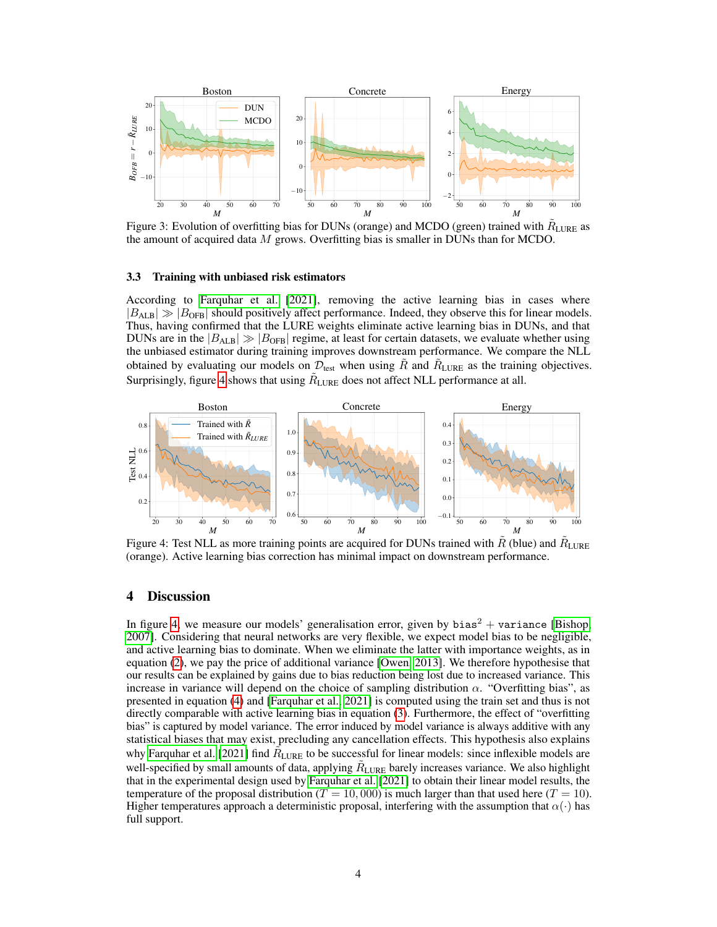

<span id="page-3-0"></span>Figure 3: Evolution of overfitting bias for DUNs (orange) and MCDO (green) trained with  $\tilde{R}_{\text{LURE}}$  as the amount of acquired data  $M$  grows. Overfitting bias is smaller in DUNs than for MCDO.

#### 3.3 Training with unbiased risk estimators

According to [Farquhar et al.](#page-4-0) [\[2021\]](#page-4-0), removing the active learning bias in cases where  $|B_{\text{ALB}}| \gg |B_{\text{OFB}}|$  should positively affect performance. Indeed, they observe this for linear models. Thus, having confirmed that the LURE weights eliminate active learning bias in DUNs, and that DUNs are in the  $|B_{ALB}| \gg |B_{OFB}|$  regime, at least for certain datasets, we evaluate whether using the unbiased estimator during training improves downstream performance. We compare the NLL obtained by evaluating our models on  $\mathcal{D}_{\text{test}}$  when using  $\tilde{R}$  and  $\tilde{R}_{\text{LURE}}$  as the training objectives. Surprisingly, figure [4](#page-3-1) shows that using  $R_{\text{LURE}}$  does not affect NLL performance at all.



<span id="page-3-1"></span>Figure 4: Test NLL as more training points are acquired for DUNs trained with  $\tilde{R}$  (blue) and  $\tilde{R}_{\text{LURE}}$ (orange). Active learning bias correction has minimal impact on downstream performance.

## 4 Discussion

In figure [4,](#page-3-1) we measure our models' generalisation error, given by bias<sup>2</sup> + variance [\[Bishop,](#page-4-9) [2007\]](#page-4-9). Considering that neural networks are very flexible, we expect model bias to be negligible, and active learning bias to dominate. When we eliminate the latter with importance weights, as in equation [\(2\)](#page-1-1), we pay the price of additional variance [\[Owen, 2013\]](#page-4-10). We therefore hypothesise that our results can be explained by gains due to bias reduction being lost due to increased variance. This increase in variance will depend on the choice of sampling distribution  $\alpha$ . "Overfitting bias", as presented in equation [\(4\)](#page-2-1) and [\[Farquhar et al., 2021\]](#page-4-0) is computed using the train set and thus is not directly comparable with active learning bias in equation [\(3\)](#page-2-2). Furthermore, the effect of "overfitting bias" is captured by model variance. The error induced by model variance is always additive with any statistical biases that may exist, precluding any cancellation effects. This hypothesis also explains why [Farquhar et al.](#page-4-0) [\[2021\]](#page-4-0) find  $\tilde{R}_{\text{LURE}}$  to be successful for linear models: since inflexible models are well-specified by small amounts of data, applying  $R_{\text{LURE}}$  barely increases variance. We also highlight that in the experimental design used by [Farquhar et al.](#page-4-0) [\[2021\]](#page-4-0) to obtain their linear model results, the temperature of the proposal distribution ( $T = 10,000$ ) is much larger than that used here ( $T = 10$ ). Higher temperatures approach a deterministic proposal, interfering with the assumption that  $\alpha(\cdot)$  has full support.